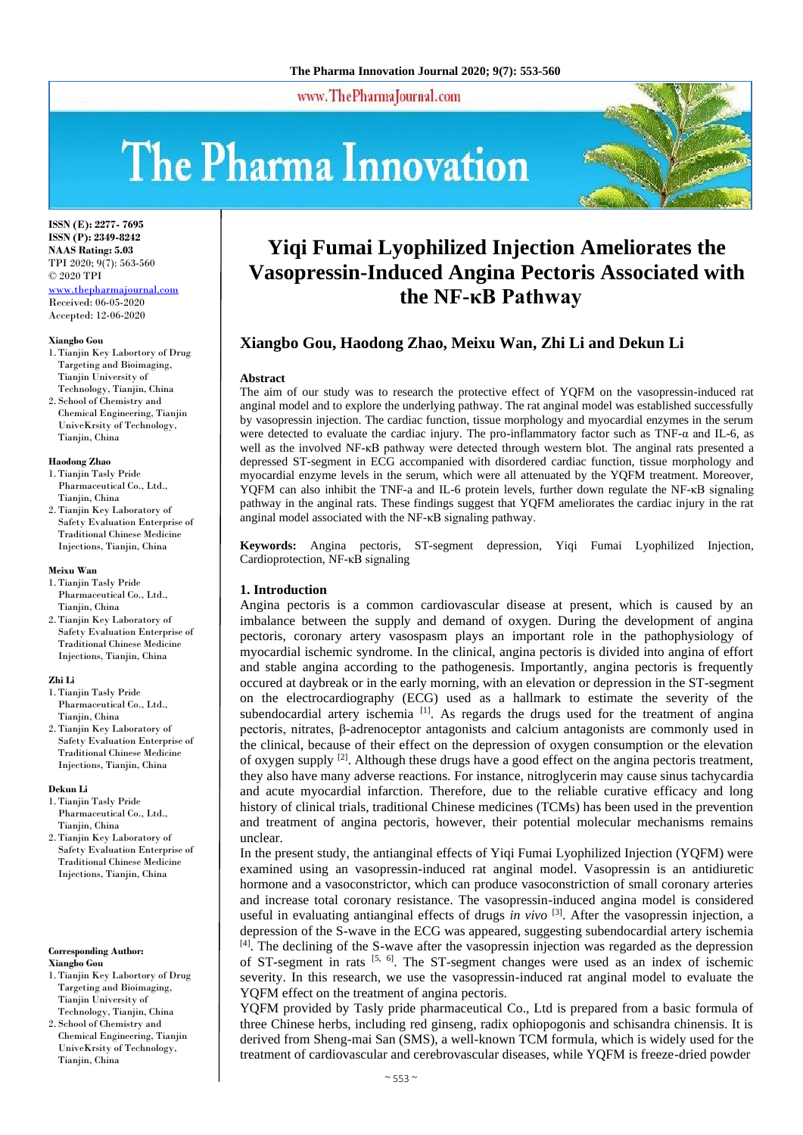#### www.ThePharmaJournal.com

# The Pharma Innovation



**ISSN (E): 2277- 7695 ISSN (P): 2349-8242 NAAS Rating: 5.03** TPI 2020; 9(7): 563-560 © 2020 TPI [www.thepharmajournal.com](http://www.thepharmajournal.com/)

Received: 06-05-2020 Accepted: 12-06-2020

#### **Xiangbo Gou**

- 1. Tianjin Key Labortory of Drug Targeting and Bioimaging, Tianjin University of Technology, Tianjin, China
- 2. School of Chemistry and Chemical Engineering, Tianjin UniveKrsity of Technology, Tianjin, China

#### **Haodong Zhao**

- 1. Tianjin Tasly Pride Pharmaceutical Co., Ltd., Tianiin, China
- 2. Tianjin Key Laboratory of Safety Evaluation Enterprise of Traditional Chinese Medicine Injections, Tianjin, China

#### **Meixu Wan**

- 1. Tianjin Tasly Pride Pharmaceutical Co., Ltd., Tianjin, China
- 2. Tianjin Key Laboratory of Safety Evaluation Enterprise of Traditional Chinese Medicine Injections, Tianjin, China

#### **Zhi Li**

- 1. Tianjin Tasly Pride Pharmaceutical Co., Ltd., Tianjin, China
- 2. Tianjin Key Laboratory of Safety Evaluation Enterprise of Traditional Chinese Medicine Injections, Tianjin, China

#### **Dekun Li**

- 1. Tianjin Tasly Pride Pharmaceutical Co., Ltd., Tianjin, China
- 2. Tianjin Key Laboratory of Safety Evaluation Enterprise of Traditional Chinese Medicine Injections, Tianjin, China

**Corresponding Author: Xiangbo Gou**

- 1. Tianjin Key Labortory of Drug Targeting and Bioimaging, Tianjin University of Technology, Tianjin, China
- 2. School of Chemistry and Chemical Engineering, Tianjin UniveKrsity of Technology, Tianjin, China

# **Yiqi Fumai Lyophilized Injection Ameliorates the Vasopressin-Induced Angina Pectoris Associated with the NF-κB Pathway**

## **Xiangbo Gou, Haodong Zhao, Meixu Wan, Zhi Li and Dekun Li**

#### **Abstract**

The aim of our study was to research the protective effect of YQFM on the vasopressin-induced rat anginal model and to explore the underlying pathway. The rat anginal model was established successfully by vasopressin injection. The cardiac function, tissue morphology and myocardial enzymes in the serum were detected to evaluate the cardiac injury. The pro-inflammatory factor such as TNF-α and IL-6, as well as the involved NF-κB pathway were detected through western blot. The anginal rats presented a depressed ST-segment in ECG accompanied with disordered cardiac function, tissue morphology and myocardial enzyme levels in the serum, which were all attenuated by the YQFM treatment. Moreover, YQFM can also inhibit the TNF-a and IL-6 protein levels, further down regulate the NF-κB signaling pathway in the anginal rats. These findings suggest that YQFM ameliorates the cardiac injury in the rat anginal model associated with the NF-κB signaling pathway.

**Keywords:** Angina pectoris, ST-segment depression, Yiqi Fumai Lyophilized Injection, Cardioprotection, NF-κB signaling

#### **1. Introduction**

Angina pectoris is a common cardiovascular disease at present, which is caused by an imbalance between the supply and demand of oxygen. During the development of angina pectoris, coronary artery vasospasm plays an important role in the pathophysiology of myocardial ischemic syndrome. In the clinical, angina pectoris is divided into angina of effort and stable angina according to the pathogenesis. Importantly, angina pectoris is frequently occured at daybreak or in the early morning, with an elevation or depression in the ST-segment on the electrocardiography (ECG) used as a hallmark to estimate the severity of the subendocardial artery ischemia [1]. As regards the drugs used for the treatment of angina pectoris, nitrates, β-adrenoceptor antagonists and calcium antagonists are commonly used in the clinical, because of their effect on the depression of oxygen consumption or the elevation of oxygen supply  $[2]$ . Although these drugs have a good effect on the angina pectoris treatment, they also have many adverse reactions. For instance, nitroglycerin may cause sinus tachycardia and acute myocardial infarction. Therefore, due to the reliable curative efficacy and long history of clinical trials, traditional Chinese medicines (TCMs) has been used in the prevention and treatment of angina pectoris, however, their potential molecular mechanisms remains unclear.

In the present study, the antianginal effects of Yiqi Fumai Lyophilized Injection (YQFM) were examined using an vasopressin-induced rat anginal model. Vasopressin is an antidiuretic hormone and a vasoconstrictor, which can produce vasoconstriction of small coronary arteries and increase total coronary resistance. The vasopressin-induced angina model is considered useful in evaluating antianginal effects of drugs *in vivo* [3]. After the vasopressin injection, a depression of the S-wave in the ECG was appeared, suggesting subendocardial artery ischemia  $<sup>[4]</sup>$ . The declining of the S-wave after the vasopressin injection was regarded as the depression</sup> of ST-segment in rats [5, 6]. The ST-segment changes were used as an index of ischemic severity. In this research, we use the vasopressin-induced rat anginal model to evaluate the YQFM effect on the treatment of angina pectoris.

YQFM provided by Tasly pride pharmaceutical Co., Ltd is prepared from a basic formula of three Chinese herbs, including red ginseng, radix ophiopogonis and schisandra chinensis. It is derived from Sheng-mai San (SMS), a well-known TCM formula, which is widely used for the treatment of cardiovascular and cerebrovascular diseases, while YQFM is freeze-dried powder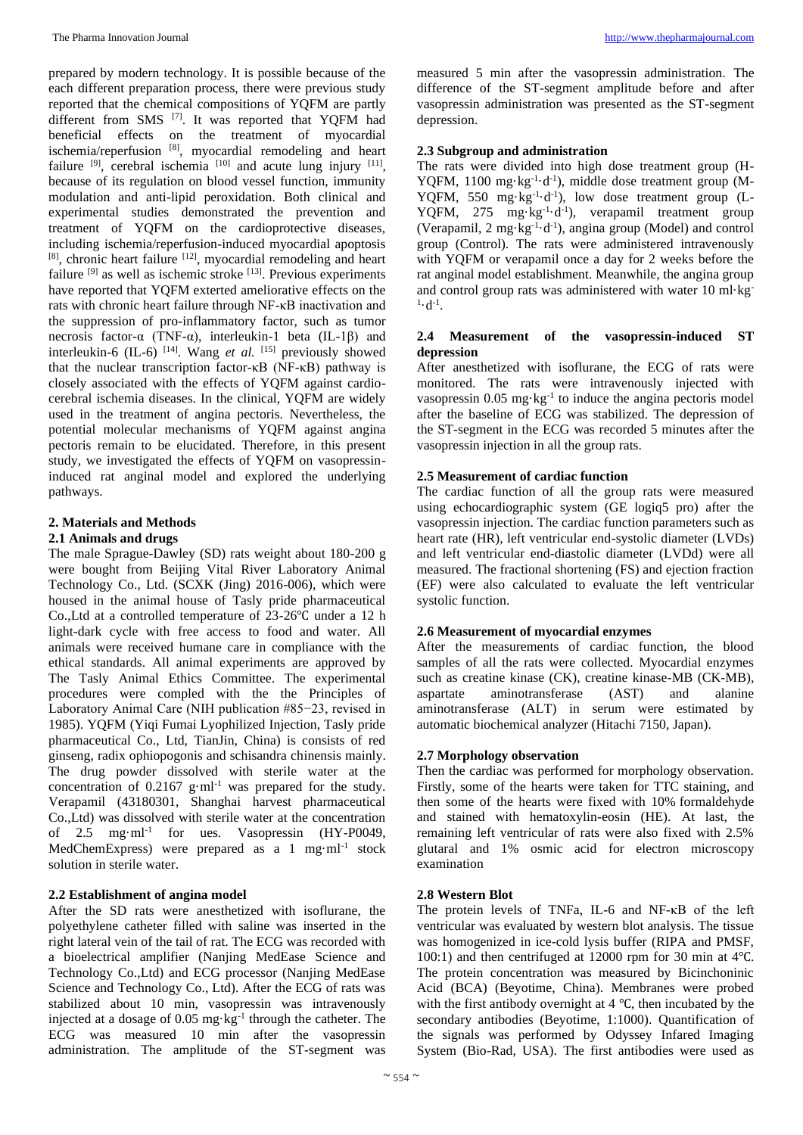prepared by modern technology. It is possible because of the each different preparation process, there were previous study reported that the chemical compositions of YQFM are partly different from SMS <a>[7]</a>. It was reported that YQFM had beneficial effects on the treatment of myocardial ischemia/reperfusion [8], myocardial remodeling and heart failure  $[9]$ , cerebral ischemia  $[10]$  and acute lung injury  $[11]$ , because of its regulation on blood vessel function, immunity modulation and anti-lipid peroxidation. Both clinical and experimental studies demonstrated the prevention and treatment of YQFM on the cardioprotective diseases, including ischemia/reperfusion-induced myocardial apoptosis [8], chronic heart failure [12], myocardial remodeling and heart failure  $[9]$  as well as ischemic stroke  $[13]$ . Previous experiments have reported that YQFM exterted ameliorative effects on the rats with chronic heart failure through NF-κB inactivation and the suppression of pro-inflammatory factor, such as tumor necrosis factor-α (TNF-α), interleukin-1 beta (IL-1β) and interleukin-6 (IL-6)<sup>[14]</sup>. Wang *et al.* [15] previously showed that the nuclear transcription factor-κB (NF-κB) pathway is closely associated with the effects of YQFM against cardiocerebral ischemia diseases. In the clinical, YQFM are widely used in the treatment of angina pectoris. Nevertheless, the potential molecular mechanisms of YQFM against angina pectoris remain to be elucidated. Therefore, in this present study, we investigated the effects of YQFM on vasopressininduced rat anginal model and explored the underlying pathways.

## **2. Materials and Methods**

## **2.1 Animals and drugs**

The male Sprague-Dawley (SD) rats weight about 180-200 g were bought from Beijing Vital River Laboratory Animal Technology Co., Ltd. (SCXK (Jing) 2016-006), which were housed in the animal house of Tasly pride pharmaceutical Co.,Ltd at a controlled temperature of 23-26℃ under a 12 h light-dark cycle with free access to food and water. All animals were received humane care in compliance with the ethical standards. All animal experiments are approved by The Tasly Animal Ethics Committee. The experimental procedures were compled with the the Principles of Laboratory Animal Care (NIH publication #85−23, revised in 1985). YQFM (Yiqi Fumai Lyophilized Injection, Tasly pride pharmaceutical Co., Ltd, TianJin, China) is consists of red ginseng, radix ophiopogonis and schisandra chinensis mainly. The drug powder dissolved with sterile water at the concentration of  $0.2167 \text{ g} \cdot \text{ml}^{-1}$  was prepared for the study. Verapamil (43180301, Shanghai harvest pharmaceutical Co.,Ltd) was dissolved with sterile water at the concentration of 2.5 mg·ml-1 for ues. Vasopressin (HY-P0049, MedChemExpress) were prepared as a 1 mg·ml<sup>-1</sup> stock solution in sterile water.

## **2.2 Establishment of angina model**

After the SD rats were anesthetized with isoflurane, the polyethylene catheter filled with saline was inserted in the right lateral vein of the tail of rat. The ECG was recorded with a bioelectrical amplifier (Nanjing MedEase Science and Technology Co.,Ltd) and ECG processor (Nanjing MedEase Science and Technology Co., Ltd). After the ECG of rats was stabilized about 10 min, vasopressin was intravenously injected at a dosage of  $0.05 \text{ mg} \cdot \text{kg}^{-1}$  through the catheter. The ECG was measured 10 min after the vasopressin administration. The amplitude of the ST-segment was

measured 5 min after the vasopressin administration. The difference of the ST-segment amplitude before and after vasopressin administration was presented as the ST-segment depression.

## **2.3 Subgroup and administration**

The rats were divided into high dose treatment group (H-YQFM, 1100 mg·kg<sup>-1</sup>·d<sup>-1</sup>), middle dose treatment group (M-YQFM, 550 mg·kg<sup>-1</sup>·d<sup>-1</sup>), low dose treatment group (L-YQFM, 275 mg·kg<sup>-1</sup>·d<sup>-1</sup>), verapamil treatment group (Verapamil, 2 mg·kg-1 ·d-1 ), angina group (Model) and control group (Control). The rats were administered intravenously with YQFM or verapamil once a day for 2 weeks before the rat anginal model establishment. Meanwhile, the angina group and control group rats was administered with water 10 ml·kg- $^{1} \cdot d^{-1}$ .

#### **2.4 Measurement of the vasopressin-induced ST depression**

After anesthetized with isoflurane, the ECG of rats were monitored. The rats were intravenously injected with vasopressin 0.05 mg·kg<sup>-1</sup> to induce the angina pectoris model after the baseline of ECG was stabilized. The depression of the ST-segment in the ECG was recorded 5 minutes after the vasopressin injection in all the group rats.

## **2.5 Measurement of cardiac function**

The cardiac function of all the group rats were measured using echocardiographic system (GE logiq5 pro) after the vasopressin injection. The cardiac function parameters such as heart rate (HR), left ventricular end-systolic diameter (LVDs) and left ventricular end-diastolic diameter (LVDd) were all measured. The fractional shortening (FS) and ejection fraction (EF) were also calculated to evaluate the left ventricular systolic function.

### **2.6 Measurement of myocardial enzymes**

After the measurements of cardiac function, the blood samples of all the rats were collected. Myocardial enzymes such as creatine kinase (CK), creatine kinase-MB (CK-MB), aspartate aminotransferase (AST) and alanine aminotransferase (ALT) in serum were estimated by automatic biochemical analyzer (Hitachi 7150, Japan).

## **2.7 Morphology observation**

Then the cardiac was performed for morphology observation. Firstly, some of the hearts were taken for TTC staining, and then some of the hearts were fixed with 10% formaldehyde and stained with hematoxylin-eosin (HE). At last, the remaining left ventricular of rats were also fixed with 2.5% glutaral and 1% osmic acid for electron microscopy examination

### **2.8 Western Blot**

The protein levels of TNFa, IL-6 and NF-κB of the left ventricular was evaluated by western blot analysis. The tissue was homogenized in ice-cold lysis buffer (RIPA and PMSF, 100:1) and then centrifuged at 12000 rpm for 30 min at 4℃. The protein concentration was measured by Bicinchoninic Acid (BCA) (Beyotime, China). Membranes were probed with the first antibody overnight at 4 ℃, then incubated by the secondary antibodies (Beyotime, 1:1000). Quantification of the signals was performed by Odyssey Infared Imaging System (Bio-Rad, USA). The first antibodies were used as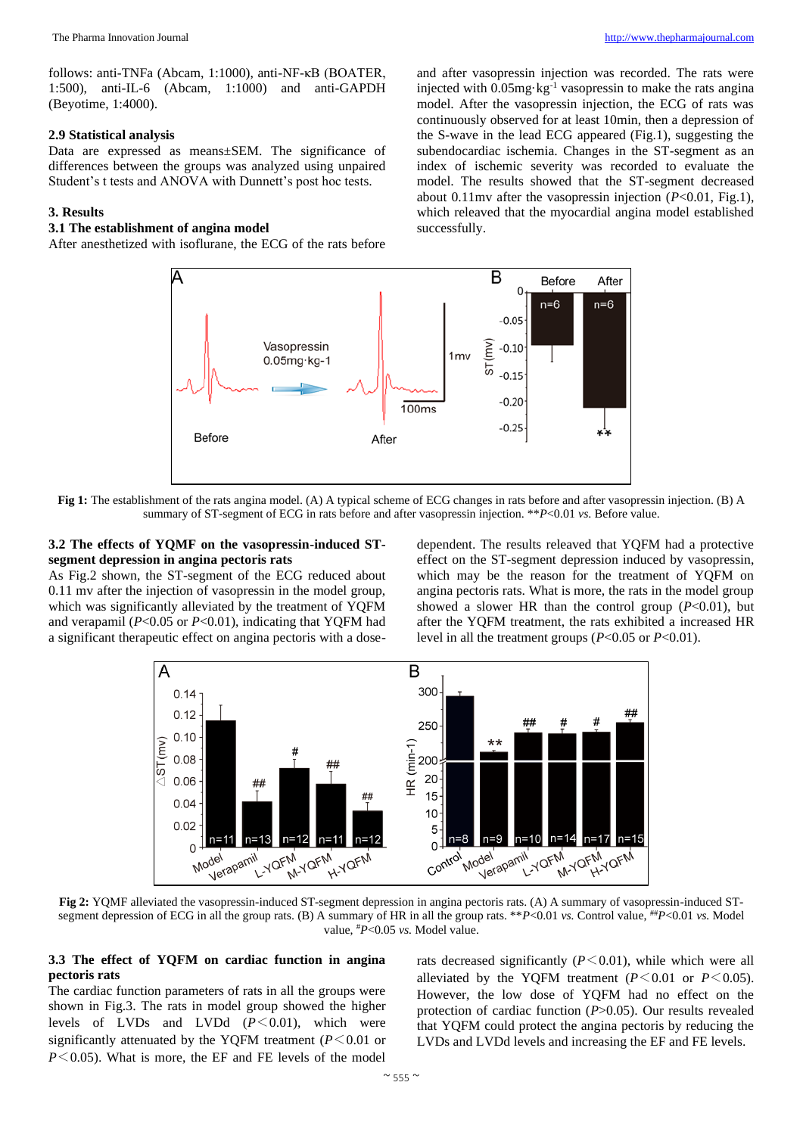#### **2.9 Statistical analysis**

Data are expressed as means±SEM. The significance of differences between the groups was analyzed using unpaired Student's t tests and ANOVA with Dunnett's post hoc tests.

#### **3. Results**

## **3.1 The establishment of angina model**

After anesthetized with isoflurane, the ECG of the rats before

and after vasopressin injection was recorded. The rats were injected with  $0.05$ mg·kg<sup>-1</sup> vasopressin to make the rats angina model. After the vasopressin injection, the ECG of rats was continuously observed for at least 10min, then a depression of the S-wave in the lead ECG appeared (Fig.1), suggesting the subendocardiac ischemia. Changes in the ST-segment as an index of ischemic severity was recorded to evaluate the model. The results showed that the ST-segment decreased about 0.11mv after the vasopressin injection (*P*<0.01, Fig.1), which releaved that the myocardial angina model established successfully.



**Fig 1:** The establishment of the rats angina model. (A) A typical scheme of ECG changes in rats before and after vasopressin injection. (B) A summary of ST-segment of ECG in rats before and after vasopressin injection. \*\**P*<0.01 *vs*. Before value.

#### **3.2 The effects of YQMF on the vasopressin-induced STsegment depression in angina pectoris rats**

As Fig.2 shown, the ST-segment of the ECG reduced about 0.11 mv after the injection of vasopressin in the model group, which was significantly alleviated by the treatment of YQFM and verapamil (*P*<0.05 or *P*<0.01), indicating that YQFM had a significant therapeutic effect on angina pectoris with a dose-

dependent. The results releaved that YQFM had a protective effect on the ST-segment depression induced by vasopressin, which may be the reason for the treatment of YQFM on angina pectoris rats. What is more, the rats in the model group showed a slower HR than the control group  $(P<0.01)$ , but after the YQFM treatment, the rats exhibited a increased HR level in all the treatment groups (*P*<0.05 or *P*<0.01).



**Fig 2:** YQMF alleviated the vasopressin-induced ST-segment depression in angina pectoris rats. (A) A summary of vasopressin-induced STsegment depression of ECG in all the group rats. (B) A summary of HR in all the group rats. \*\**P*<0.01 *vs.* Control value, ##*P*<0.01 *vs.* Model value, #*P*<0.05 *vs.* Model value.

#### **3.3 The effect of YQFM on cardiac function in angina pectoris rats**

The cardiac function parameters of rats in all the groups were shown in Fig.3. The rats in model group showed the higher levels of LVDs and LVDd  $(P<0.01)$ , which were significantly attenuated by the YQFM treatment  $(P \leq 0.01)$  or *P*<0.05). What is more, the EF and FE levels of the model

rats decreased significantly  $(P<0.01)$ , while which were all alleviated by the YQFM treatment  $(P<0.01$  or  $P<0.05$ ). However, the low dose of YQFM had no effect on the protection of cardiac function (*P*>0.05). Our results revealed that YQFM could protect the angina pectoris by reducing the LVDs and LVDd levels and increasing the EF and FE levels.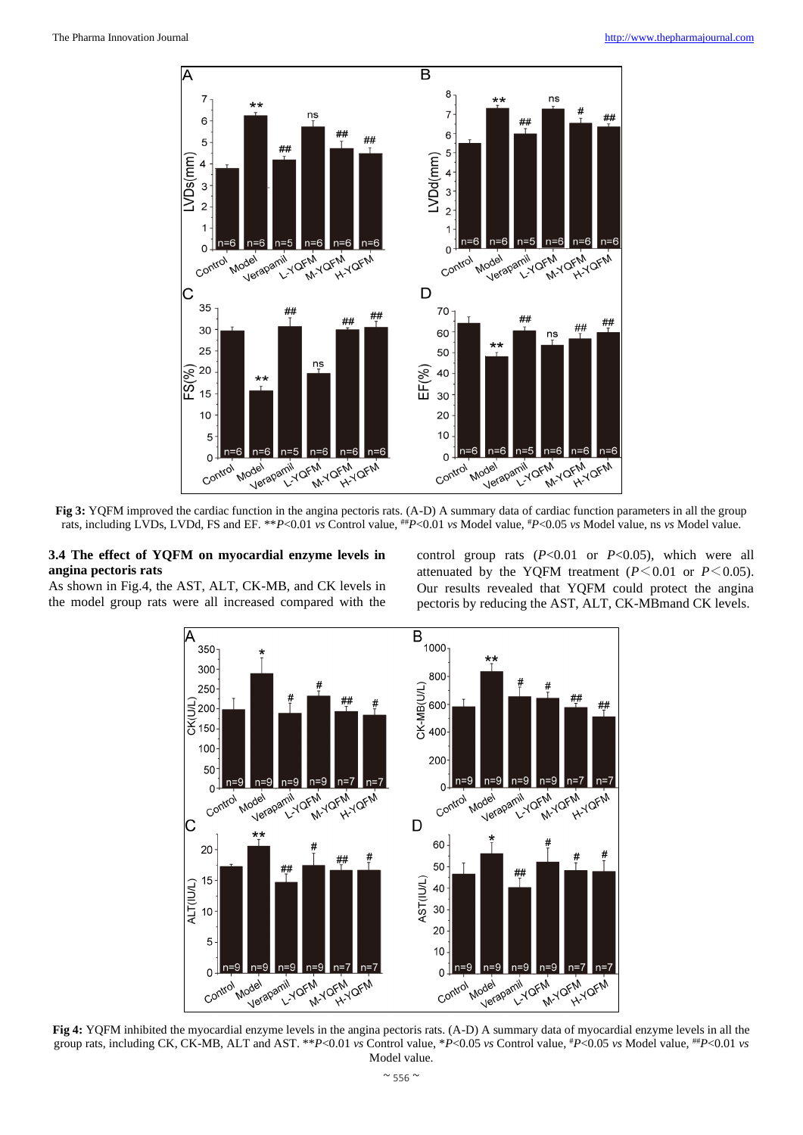

**Fig 3:** YOFM improved the cardiac function in the angina pectoris rats. (A-D) A summary data of cardiac function parameters in all the group rats, including LVDs, LVDd, FS and EF. \*\**P*<0.01 *vs* Control value, ##*P*<0.01 *vs* Model value, #*P*<0.05 *vs* Model value, ns *vs* Model value.

#### **3.4 The effect of YQFM on myocardial enzyme levels in angina pectoris rats**

As shown in Fig.4, the AST, ALT, CK-MB, and CK levels in the model group rats were all increased compared with the

control group rats (*P*<0.01 or *P*<0.05), which were all attenuated by the YQFM treatment  $(P<0.01$  or  $P<0.05$ ). Our results revealed that YQFM could protect the angina pectoris by reducing the AST, ALT, CK-MBmand CK levels.



**Fig 4:** YQFM inhibited the myocardial enzyme levels in the angina pectoris rats. (A-D) A summary data of myocardial enzyme levels in all the group rats, including CK, CK-MB, ALT and AST. \*\**P*<0.01 *vs* Control value, \**P*<0.05 *vs* Control value, #*P*<0.05 *vs* Model value, ##*P*<0.01 *vs* Model value.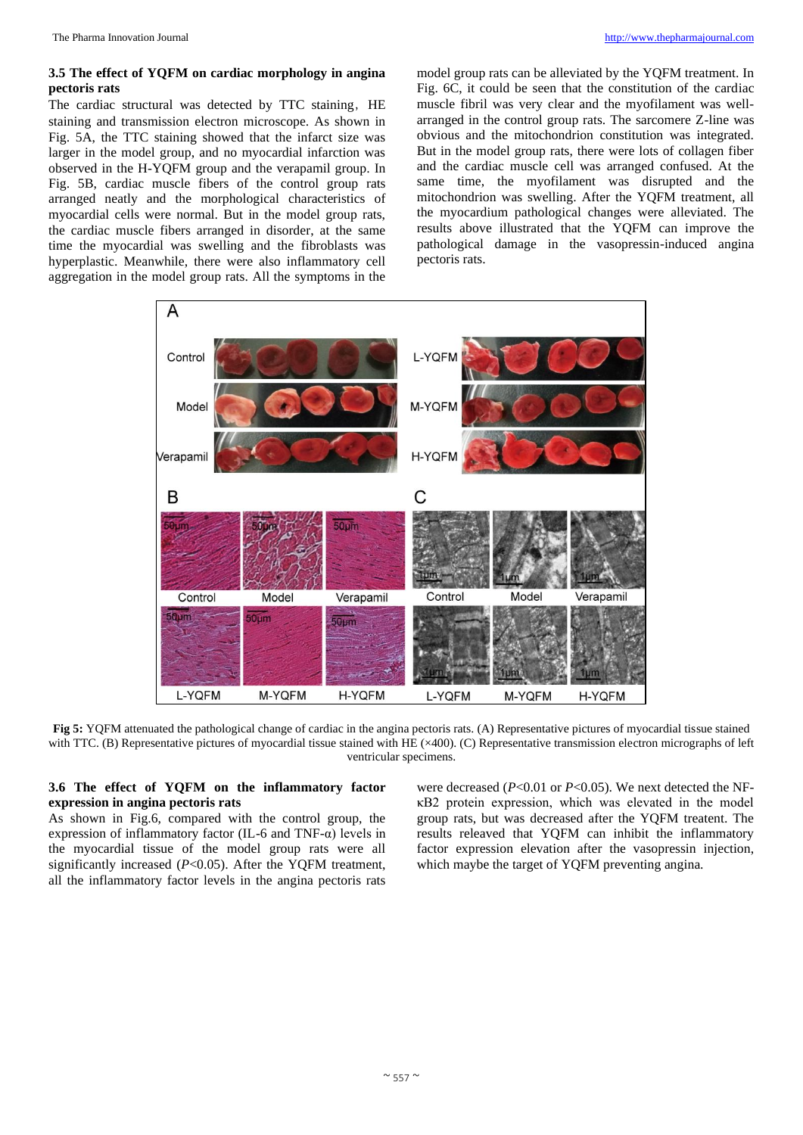#### **3.5 The effect of YQFM on cardiac morphology in angina pectoris rats**

The cardiac structural was detected by TTC staining, HE staining and transmission electron microscope. As shown in Fig. 5A, the TTC staining showed that the infarct size was larger in the model group, and no myocardial infarction was observed in the H-YQFM group and the verapamil group. In Fig. 5B, cardiac muscle fibers of the control group rats arranged neatly and the morphological characteristics of myocardial cells were normal. But in the model group rats, the cardiac muscle fibers arranged in disorder, at the same time the myocardial was swelling and the fibroblasts was hyperplastic. Meanwhile, there were also inflammatory cell aggregation in the model group rats. All the symptoms in the

model group rats can be alleviated by the YQFM treatment. In Fig. 6C, it could be seen that the constitution of the cardiac muscle fibril was very clear and the myofilament was wellarranged in the control group rats. The sarcomere Z-line was obvious and the mitochondrion constitution was integrated. But in the model group rats, there were lots of collagen fiber and the cardiac muscle cell was arranged confused. At the same time, the myofilament was disrupted and the mitochondrion was swelling. After the YQFM treatment, all the myocardium pathological changes were alleviated. The results above illustrated that the YQFM can improve the pathological damage in the vasopressin-induced angina pectoris rats.



**Fig 5:** YQFM attenuated the pathological change of cardiac in the angina pectoris rats. (A) Representative pictures of myocardial tissue stained with TTC. (B) Representative pictures of myocardial tissue stained with HE (×400). (C) Representative transmission electron micrographs of left ventricular specimens.

## **3.6 The effect of YQFM on the inflammatory factor expression in angina pectoris rats**

As shown in Fig.6, compared with the control group, the expression of inflammatory factor (IL-6 and TNF- $\alpha$ ) levels in the myocardial tissue of the model group rats were all significantly increased (*P*<0.05). After the YQFM treatment, all the inflammatory factor levels in the angina pectoris rats

were decreased (*P*<0.01 or *P*<0.05). We next detected the NFκB2 protein expression, which was elevated in the model group rats, but was decreased after the YQFM treatent. The results releaved that YQFM can inhibit the inflammatory factor expression elevation after the vasopressin injection, which maybe the target of YQFM preventing angina.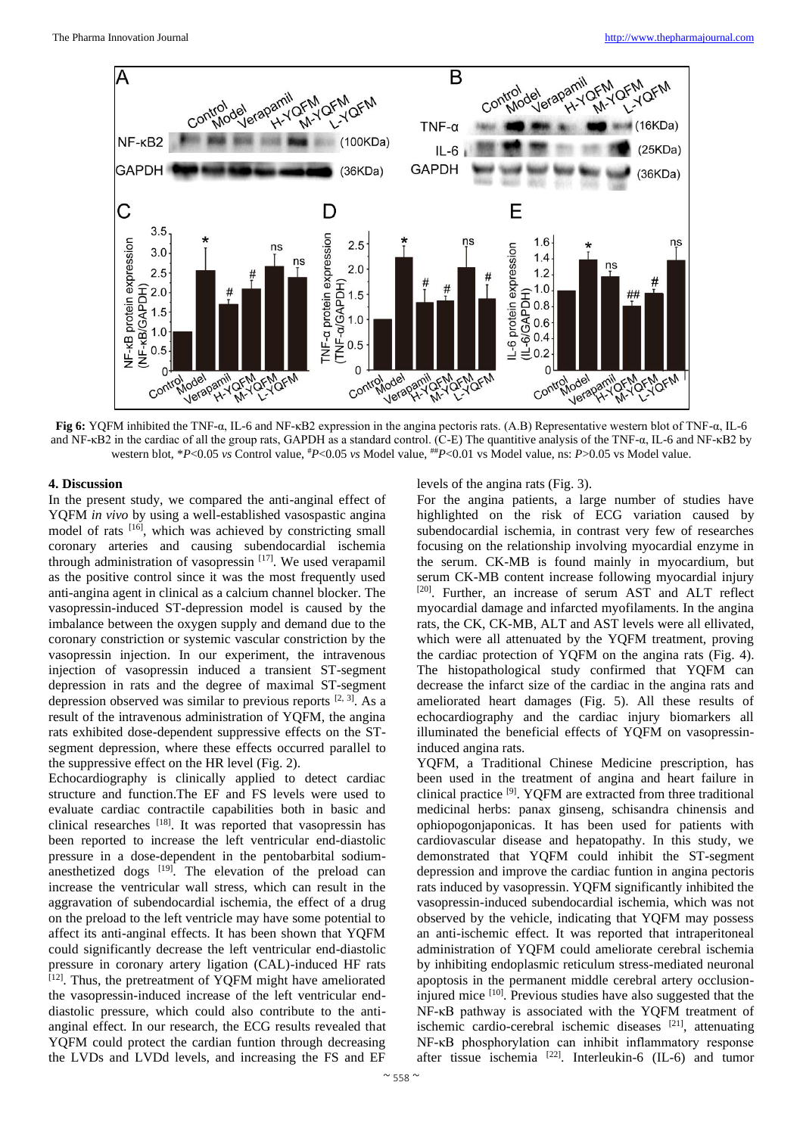

**Fig 6:** YQFM inhibited the TNF-α, IL-6 and NF-κB2 expression in the angina pectoris rats. (A.B) Representative western blot of TNF-α, IL-6 and NF-κB2 in the cardiac of all the group rats, GAPDH as a standard control. (C-E) The quantitive analysis of the TNF-α, IL-6 and NF-κB2 by western blot, \**P*<0.05 *vs* Control value, #*P*<0.05 *vs* Model value, ##*P*<0.01 vs Model value, ns: *P*>0.05 vs Model value.

#### **4. Discussion**

In the present study, we compared the anti-anginal effect of YQFM *in vivo* by using a well-established vasospastic angina model of rats [16], which was achieved by constricting small coronary arteries and causing subendocardial ischemia through administration of vasopressin [17]. We used verapamil as the positive control since it was the most frequently used anti-angina agent in clinical as a calcium channel blocker. The vasopressin-induced ST-depression model is caused by the imbalance between the oxygen supply and demand due to the coronary constriction or systemic vascular constriction by the vasopressin injection. In our experiment, the intravenous injection of vasopressin induced a transient ST-segment depression in rats and the degree of maximal ST-segment depression observed was similar to previous reports  $[2, 3]$ . As a result of the intravenous administration of YQFM, the angina rats exhibited dose-dependent suppressive effects on the STsegment depression, where these effects occurred parallel to the suppressive effect on the HR level (Fig. 2).

Echocardiography is clinically applied to detect cardiac structure and function.The EF and FS levels were used to evaluate cardiac contractile capabilities both in basic and clinical researches [18]. It was reported that vasopressin has been reported to increase the left ventricular end-diastolic pressure in a dose-dependent in the pentobarbital sodiumanesthetized dogs  $[19]$ . The elevation of the preload can increase the ventricular wall stress, which can result in the aggravation of subendocardial ischemia, the effect of a drug on the preload to the left ventricle may have some potential to affect its anti-anginal effects. It has been shown that YQFM could significantly decrease the left ventricular end-diastolic pressure in coronary artery ligation (CAL)-induced HF rats  $[12]$ . Thus, the pretreatment of YQFM might have ameliorated the vasopressin-induced increase of the left ventricular enddiastolic pressure, which could also contribute to the antianginal effect. In our research, the ECG results revealed that YQFM could protect the cardian funtion through decreasing the LVDs and LVDd levels, and increasing the FS and EF

#### levels of the angina rats (Fig. 3).

For the angina patients, a large number of studies have highlighted on the risk of ECG variation caused by subendocardial ischemia, in contrast very few of researches focusing on the relationship involving myocardial enzyme in the serum. CK-MB is found mainly in myocardium, but serum CK-MB content increase following myocardial injury [20]. Further, an increase of serum AST and ALT reflect myocardial damage and infarcted myofilaments. In the angina rats, the CK, CK-MB, ALT and AST levels were all ellivated, which were all attenuated by the YQFM treatment, proving the cardiac protection of YQFM on the angina rats (Fig. 4). The histopathological study confirmed that YQFM can decrease the infarct size of the cardiac in the angina rats and ameliorated heart damages (Fig. 5). All these results of echocardiography and the cardiac injury biomarkers all illuminated the beneficial effects of YQFM on vasopressininduced angina rats.

YQFM, a Traditional Chinese Medicine prescription, has been used in the treatment of angina and heart failure in clinical practice [9]. YQFM are extracted from three traditional medicinal herbs: panax ginseng, schisandra chinensis and ophiopogonjaponicas. It has been used for patients with cardiovascular disease and hepatopathy. In this study, we demonstrated that YQFM could inhibit the ST-segment depression and improve the cardiac funtion in angina pectoris rats induced by vasopressin. YQFM significantly inhibited the vasopressin-induced subendocardial ischemia, which was not observed by the vehicle, indicating that YQFM may possess an anti-ischemic effect. It was reported that intraperitoneal administration of YQFM could ameliorate cerebral ischemia by inhibiting endoplasmic reticulum stress-mediated neuronal apoptosis in the permanent middle cerebral artery occlusioninjured mice <sup>[10]</sup>. Previous studies have also suggested that the NF-κB pathway is associated with the YQFM treatment of ischemic cardio-cerebral ischemic diseases [21], attenuating NF-κB phosphorylation can inhibit inflammatory response after tissue ischemia <sup>[22]</sup>. Interleukin-6 (IL-6) and tumor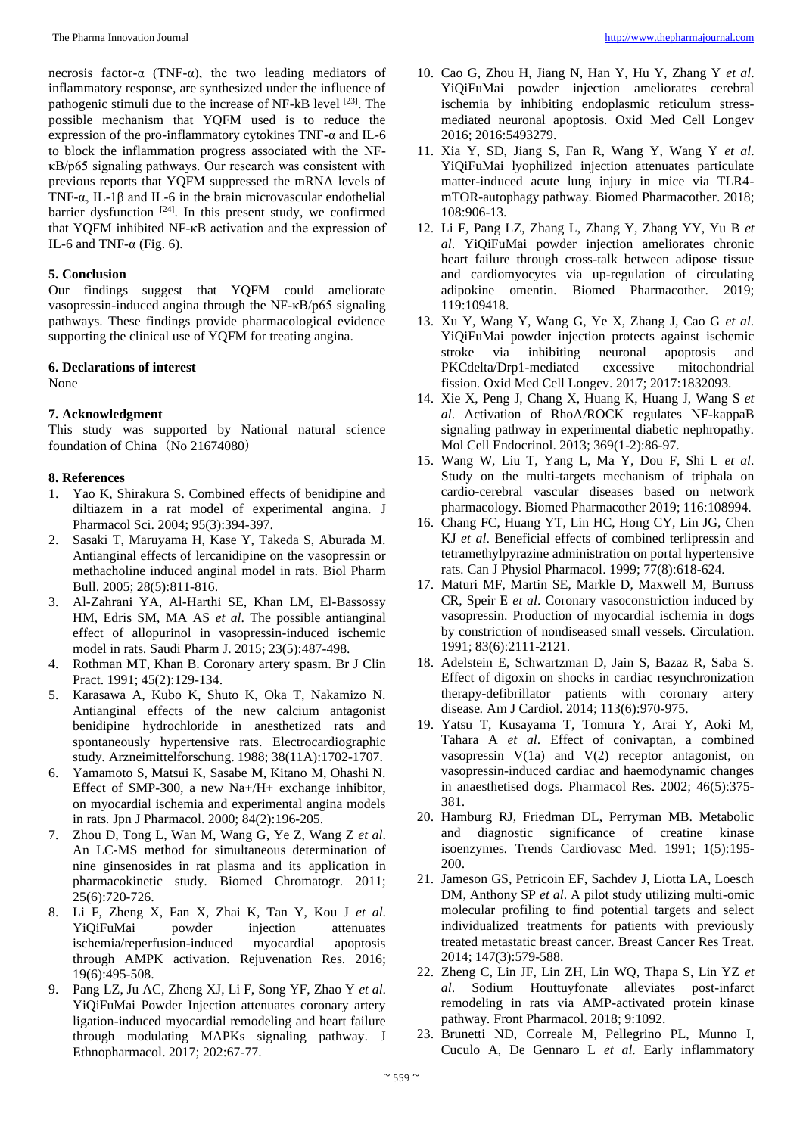necrosis factor-α (TNF-α), the two leading mediators of inflammatory response, are synthesized under the influence of pathogenic stimuli due to the increase of NF-kB level [23]. The possible mechanism that YQFM used is to reduce the expression of the pro-inflammatory cytokines TNF-α and IL-6 to block the inflammation progress associated with the NFκB/p65 signaling pathways. Our research was consistent with previous reports that YQFM suppressed the mRNA levels of TNF-α, IL-1β and IL-6 in the brain microvascular endothelial barrier dysfunction [24]. In this present study, we confirmed that YQFM inhibited NF-κB activation and the expression of IL-6 and TNF- $α$  (Fig. 6).

#### **5. Conclusion**

Our findings suggest that YQFM could ameliorate vasopressin-induced angina through the NF-κB/p65 signaling pathways. These findings provide pharmacological evidence supporting the clinical use of YQFM for treating angina.

#### **6. Declarations of interest**

None

### **7. Acknowledgment**

This study was supported by National natural science foundation of China (No 21674080)

#### **8. References**

- 1. Yao K, Shirakura S. Combined effects of benidipine and diltiazem in a rat model of experimental angina*.* J Pharmacol Sci. 2004; 95(3):394-397.
- 2. Sasaki T, Maruyama H, Kase Y, Takeda S, Aburada M. Antianginal effects of lercanidipine on the vasopressin or methacholine induced anginal model in rats*.* Biol Pharm Bull. 2005; 28(5):811-816.
- 3. Al-Zahrani YA, Al-Harthi SE, Khan LM, El-Bassossy HM, Edris SM, MA AS *et al*. The possible antianginal effect of allopurinol in vasopressin-induced ischemic model in rats*.* Saudi Pharm J. 2015; 23(5):487-498.
- 4. Rothman MT, Khan B. Coronary artery spasm*.* Br J Clin Pract. 1991; 45(2):129-134.
- 5. Karasawa A, Kubo K, Shuto K, Oka T, Nakamizo N. Antianginal effects of the new calcium antagonist benidipine hydrochloride in anesthetized rats and spontaneously hypertensive rats. Electrocardiographic study*.* Arzneimittelforschung. 1988; 38(11A):1702-1707.
- 6. Yamamoto S, Matsui K, Sasabe M, Kitano M, Ohashi N. Effect of SMP-300, a new Na+/H+ exchange inhibitor, on myocardial ischemia and experimental angina models in rats*.* Jpn J Pharmacol. 2000; 84(2):196-205.
- 7. Zhou D, Tong L, Wan M, Wang G, Ye Z, Wang Z *et al*. An LC-MS method for simultaneous determination of nine ginsenosides in rat plasma and its application in pharmacokinetic study*.* Biomed Chromatogr. 2011; 25(6):720-726.
- 8. Li F, Zheng X, Fan X, Zhai K, Tan Y, Kou J *et al*. YiQiFuMai powder injection attenuates ischemia/reperfusion-induced myocardial apoptosis through AMPK activation*.* Rejuvenation Res. 2016; 19(6):495-508.
- 9. Pang LZ, Ju AC, Zheng XJ, Li F, Song YF, Zhao Y *et al*. YiQiFuMai Powder Injection attenuates coronary artery ligation-induced myocardial remodeling and heart failure through modulating MAPKs signaling pathway*.* J Ethnopharmacol. 2017; 202:67-77.
- 10. Cao G, Zhou H, Jiang N, Han Y, Hu Y, Zhang Y *et al*. YiQiFuMai powder injection ameliorates cerebral ischemia by inhibiting endoplasmic reticulum stressmediated neuronal apoptosis*.* Oxid Med Cell Longev 2016; 2016:5493279.
- 11. Xia Y, SD, Jiang S, Fan R, Wang Y, Wang Y *et al*. YiQiFuMai lyophilized injection attenuates particulate matter-induced acute lung injury in mice via TLR4 mTOR-autophagy pathway*.* Biomed Pharmacother. 2018; 108:906-13.
- 12. Li F, Pang LZ, Zhang L, Zhang Y, Zhang YY, Yu B *et al*. YiQiFuMai powder injection ameliorates chronic heart failure through cross-talk between adipose tissue and cardiomyocytes via up-regulation of circulating adipokine omentin*.* Biomed Pharmacother. 2019; 119:109418.
- 13. Xu Y, Wang Y, Wang G, Ye X, Zhang J, Cao G *et al*. YiQiFuMai powder injection protects against ischemic stroke via inhibiting neuronal apoptosis and PKCdelta/Drp1-mediated excessive mitochondrial fission*.* Oxid Med Cell Longev. 2017; 2017:1832093.
- 14. Xie X, Peng J, Chang X, Huang K, Huang J, Wang S *et al*. Activation of RhoA/ROCK regulates NF-kappaB signaling pathway in experimental diabetic nephropathy*.* Mol Cell Endocrinol. 2013; 369(1-2):86-97.
- 15. Wang W, Liu T, Yang L, Ma Y, Dou F, Shi L *et al*. Study on the multi-targets mechanism of triphala on cardio-cerebral vascular diseases based on network pharmacology*.* Biomed Pharmacother 2019; 116:108994.
- 16. Chang FC, Huang YT, Lin HC, Hong CY, Lin JG, Chen KJ *et al*. Beneficial effects of combined terlipressin and tetramethylpyrazine administration on portal hypertensive rats*.* Can J Physiol Pharmacol. 1999; 77(8):618-624.
- 17. Maturi MF, Martin SE, Markle D, Maxwell M, Burruss CR, Speir E *et al*. Coronary vasoconstriction induced by vasopressin. Production of myocardial ischemia in dogs by constriction of nondiseased small vessels*.* Circulation. 1991; 83(6):2111-2121.
- 18. Adelstein E, Schwartzman D, Jain S, Bazaz R, Saba S. Effect of digoxin on shocks in cardiac resynchronization therapy-defibrillator patients with coronary artery disease*.* Am J Cardiol. 2014; 113(6):970-975.
- 19. Yatsu T, Kusayama T, Tomura Y, Arai Y, Aoki M, Tahara A *et al*. Effect of conivaptan, a combined vasopressin V(1a) and V(2) receptor antagonist, on vasopressin-induced cardiac and haemodynamic changes in anaesthetised dogs*.* Pharmacol Res. 2002; 46(5):375- 381.
- 20. Hamburg RJ, Friedman DL, Perryman MB. Metabolic and diagnostic significance of creatine kinase isoenzymes*.* Trends Cardiovasc Med. 1991; 1(5):195- 200.
- 21. Jameson GS, Petricoin EF, Sachdev J, Liotta LA, Loesch DM, Anthony SP *et al*. A pilot study utilizing multi-omic molecular profiling to find potential targets and select individualized treatments for patients with previously treated metastatic breast cancer*.* Breast Cancer Res Treat. 2014; 147(3):579-588.
- 22. Zheng C, Lin JF, Lin ZH, Lin WQ, Thapa S, Lin YZ *et al*. Sodium Houttuyfonate alleviates post-infarct remodeling in rats via AMP-activated protein kinase pathway*.* Front Pharmacol. 2018; 9:1092.
- 23. Brunetti ND, Correale M, Pellegrino PL, Munno I, Cuculo A, De Gennaro L *et al*. Early inflammatory